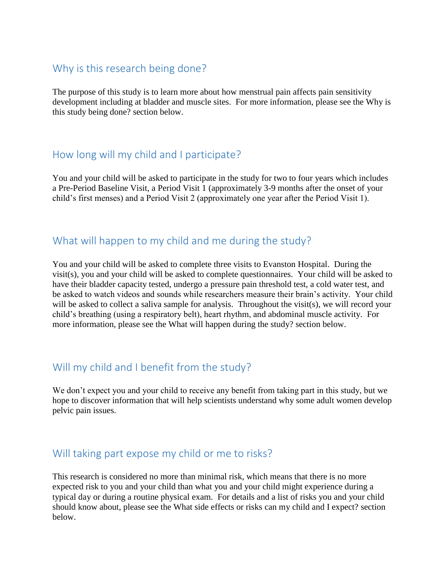# Why is this research being done?

The purpose of this study is to learn more about how menstrual pain affects pain sensitivity development including at bladder and muscle sites. For more information, please see the Why is this study being done? section below.

### How long will my child and I participate?

You and your child will be asked to participate in the study for two to four years which includes a Pre-Period Baseline Visit, a Period Visit 1 (approximately 3-9 months after the onset of your child's first menses) and a Period Visit 2 (approximately one year after the Period Visit 1).

### What will happen to my child and me during the study?

You and your child will be asked to complete three visits to Evanston Hospital. During the visit(s), you and your child will be asked to complete questionnaires. Your child will be asked to have their bladder capacity tested, undergo a pressure pain threshold test, a cold water test, and be asked to watch videos and sounds while researchers measure their brain's activity. Your child will be asked to collect a saliva sample for analysis. Throughout the visit(s), we will record your child's breathing (using a respiratory belt), heart rhythm, and abdominal muscle activity. For more information, please see the What will happen during the study? section below.

# Will my child and I benefit from the study?

We don't expect you and your child to receive any benefit from taking part in this study, but we hope to discover information that will help scientists understand why some adult women develop pelvic pain issues.

# Will taking part expose my child or me to risks?

This research is considered no more than minimal risk, which means that there is no more expected risk to you and your child than what you and your child might experience during a typical day or during a routine physical exam. For details and a list of risks you and your child should know about, please see the What side effects or risks can my child and I expect? section below.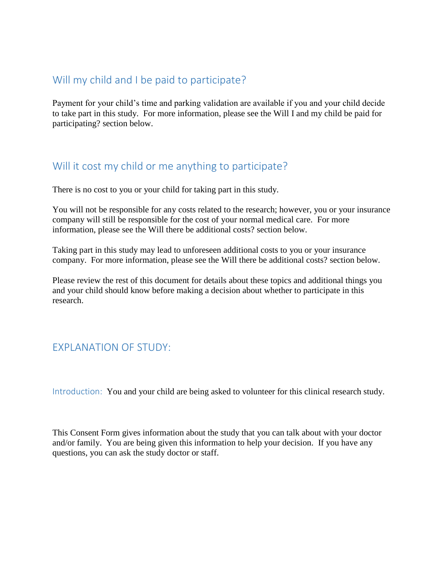# Will my child and I be paid to participate?

Payment for your child's time and parking validation are available if you and your child decide to take part in this study. For more information, please see the Will I and my child be paid for participating? section below.

# Will it cost my child or me anything to participate?

There is no cost to you or your child for taking part in this study.

You will not be responsible for any costs related to the research; however, you or your insurance company will still be responsible for the cost of your normal medical care. For more information, please see the Will there be additional costs? section below.

Taking part in this study may lead to unforeseen additional costs to you or your insurance company. For more information, please see the Will there be additional costs? section below.

Please review the rest of this document for details about these topics and additional things you and your child should know before making a decision about whether to participate in this research.

# EXPLANATION OF STUDY:

Introduction: You and your child are being asked to volunteer for this clinical research study.

This Consent Form gives information about the study that you can talk about with your doctor and/or family. You are being given this information to help your decision. If you have any questions, you can ask the study doctor or staff.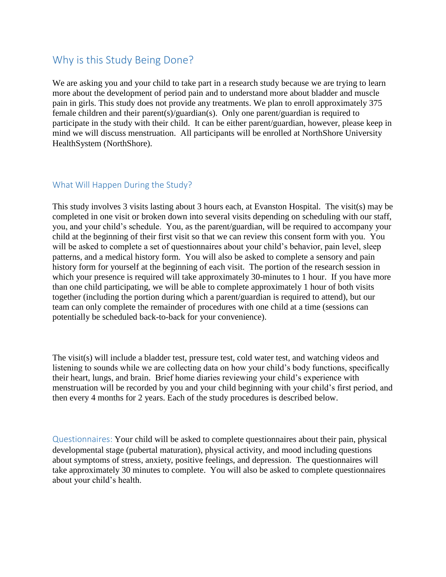### Why is this Study Being Done?

We are asking you and your child to take part in a research study because we are trying to learn more about the development of period pain and to understand more about bladder and muscle pain in girls. This study does not provide any treatments. We plan to enroll approximately 375 female children and their parent(s)/guardian(s). Only one parent/guardian is required to participate in the study with their child. It can be either parent/guardian, however, please keep in mind we will discuss menstruation. All participants will be enrolled at NorthShore University HealthSystem (NorthShore).

#### What Will Happen During the Study?

This study involves 3 visits lasting about 3 hours each, at Evanston Hospital. The visit(s) may be completed in one visit or broken down into several visits depending on scheduling with our staff, you, and your child's schedule. You, as the parent/guardian, will be required to accompany your child at the beginning of their first visit so that we can review this consent form with you. You will be asked to complete a set of questionnaires about your child's behavior, pain level, sleep patterns, and a medical history form. You will also be asked to complete a sensory and pain history form for yourself at the beginning of each visit. The portion of the research session in which your presence is required will take approximately 30-minutes to 1 hour. If you have more than one child participating, we will be able to complete approximately 1 hour of both visits together (including the portion during which a parent/guardian is required to attend), but our team can only complete the remainder of procedures with one child at a time (sessions can potentially be scheduled back-to-back for your convenience).

The visit(s) will include a bladder test, pressure test, cold water test, and watching videos and listening to sounds while we are collecting data on how your child's body functions, specifically their heart, lungs, and brain. Brief home diaries reviewing your child's experience with menstruation will be recorded by you and your child beginning with your child's first period, and then every 4 months for 2 years. Each of the study procedures is described below.

Questionnaires: Your child will be asked to complete questionnaires about their pain, physical developmental stage (pubertal maturation), physical activity, and mood including questions about symptoms of stress, anxiety, positive feelings, and depression. The questionnaires will take approximately 30 minutes to complete. You will also be asked to complete questionnaires about your child's health.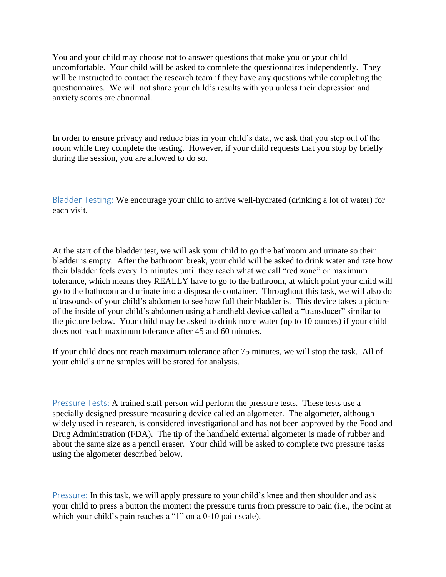You and your child may choose not to answer questions that make you or your child uncomfortable. Your child will be asked to complete the questionnaires independently. They will be instructed to contact the research team if they have any questions while completing the questionnaires. We will not share your child's results with you unless their depression and anxiety scores are abnormal.

In order to ensure privacy and reduce bias in your child's data, we ask that you step out of the room while they complete the testing. However, if your child requests that you stop by briefly during the session, you are allowed to do so.

Bladder Testing: We encourage your child to arrive well-hydrated (drinking a lot of water) for each visit.

At the start of the bladder test, we will ask your child to go the bathroom and urinate so their bladder is empty. After the bathroom break, your child will be asked to drink water and rate how their bladder feels every 15 minutes until they reach what we call "red zone" or maximum tolerance, which means they REALLY have to go to the bathroom, at which point your child will go to the bathroom and urinate into a disposable container. Throughout this task, we will also do ultrasounds of your child's abdomen to see how full their bladder is. This device takes a picture of the inside of your child's abdomen using a handheld device called a "transducer" similar to the picture below. Your child may be asked to drink more water (up to 10 ounces) if your child does not reach maximum tolerance after 45 and 60 minutes.

If your child does not reach maximum tolerance after 75 minutes, we will stop the task. All of your child's urine samples will be stored for analysis.

Pressure Tests: A trained staff person will perform the pressure tests. These tests use a specially designed pressure measuring device called an algometer. The algometer, although widely used in research, is considered investigational and has not been approved by the Food and Drug Administration (FDA). The tip of the handheld external algometer is made of rubber and about the same size as a pencil eraser. Your child will be asked to complete two pressure tasks using the algometer described below.

Pressure: In this task, we will apply pressure to your child's knee and then shoulder and ask your child to press a button the moment the pressure turns from pressure to pain (i.e., the point at which your child's pain reaches a "1" on a 0-10 pain scale).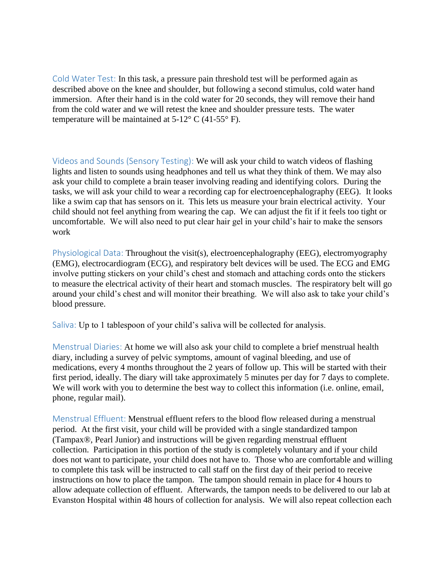Cold Water Test: In this task, a pressure pain threshold test will be performed again as described above on the knee and shoulder, but following a second stimulus, cold water hand immersion. After their hand is in the cold water for 20 seconds, they will remove their hand from the cold water and we will retest the knee and shoulder pressure tests. The water temperature will be maintained at  $5-12^{\circ}$  C (41-55° F).

Videos and Sounds (Sensory Testing): We will ask your child to watch videos of flashing lights and listen to sounds using headphones and tell us what they think of them. We may also ask your child to complete a brain teaser involving reading and identifying colors. During the tasks, we will ask your child to wear a recording cap for electroencephalography (EEG). It looks like a swim cap that has sensors on it. This lets us measure your brain electrical activity. Your child should not feel anything from wearing the cap. We can adjust the fit if it feels too tight or uncomfortable. We will also need to put clear hair gel in your child's hair to make the sensors work

Physiological Data: Throughout the visit(s), electroencephalography (EEG), electromyography (EMG), electrocardiogram (ECG), and respiratory belt devices will be used. The ECG and EMG involve putting stickers on your child's chest and stomach and attaching cords onto the stickers to measure the electrical activity of their heart and stomach muscles. The respiratory belt will go around your child's chest and will monitor their breathing. We will also ask to take your child's blood pressure.

Saliva: Up to 1 tablespoon of your child's saliva will be collected for analysis.

Menstrual Diaries: At home we will also ask your child to complete a brief menstrual health diary, including a survey of pelvic symptoms, amount of vaginal bleeding, and use of medications, every 4 months throughout the 2 years of follow up. This will be started with their first period, ideally. The diary will take approximately 5 minutes per day for 7 days to complete. We will work with you to determine the best way to collect this information (i.e. online, email, phone, regular mail).

Menstrual Effluent: Menstrual effluent refers to the blood flow released during a menstrual period. At the first visit, your child will be provided with a single standardized tampon (Tampax®, Pearl Junior) and instructions will be given regarding menstrual effluent collection. Participation in this portion of the study is completely voluntary and if your child does not want to participate, your child does not have to. Those who are comfortable and willing to complete this task will be instructed to call staff on the first day of their period to receive instructions on how to place the tampon. The tampon should remain in place for 4 hours to allow adequate collection of effluent. Afterwards, the tampon needs to be delivered to our lab at Evanston Hospital within 48 hours of collection for analysis. We will also repeat collection each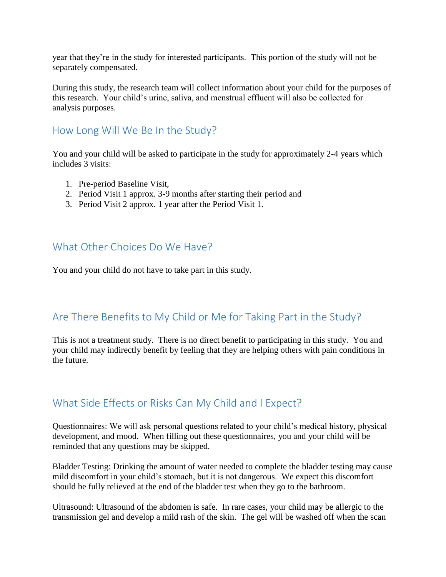year that they're in the study for interested participants. This portion of the study will not be separately compensated.

During this study, the research team will collect information about your child for the purposes of this research. Your child's urine, saliva, and menstrual effluent will also be collected for analysis purposes.

How Long Will We Be In the Study?

You and your child will be asked to participate in the study for approximately 2-4 years which includes 3 visits:

- 1. Pre-period Baseline Visit,
- 2. Period Visit 1 approx. 3-9 months after starting their period and
- 3. Period Visit 2 approx. 1 year after the Period Visit 1.

#### What Other Choices Do We Have?

You and your child do not have to take part in this study.

# Are There Benefits to My Child or Me for Taking Part in the Study?

This is not a treatment study. There is no direct benefit to participating in this study. You and your child may indirectly benefit by feeling that they are helping others with pain conditions in the future.

# What Side Effects or Risks Can My Child and I Expect?

Questionnaires: We will ask personal questions related to your child's medical history, physical development, and mood. When filling out these questionnaires, you and your child will be reminded that any questions may be skipped.

Bladder Testing: Drinking the amount of water needed to complete the bladder testing may cause mild discomfort in your child's stomach, but it is not dangerous. We expect this discomfort should be fully relieved at the end of the bladder test when they go to the bathroom.

Ultrasound: Ultrasound of the abdomen is safe. In rare cases, your child may be allergic to the transmission gel and develop a mild rash of the skin. The gel will be washed off when the scan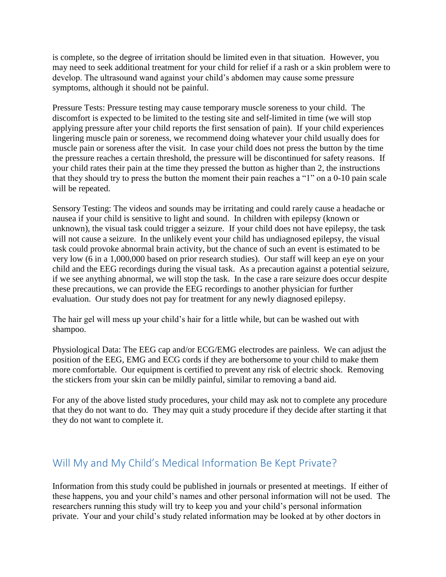is complete, so the degree of irritation should be limited even in that situation. However, you may need to seek additional treatment for your child for relief if a rash or a skin problem were to develop. The ultrasound wand against your child's abdomen may cause some pressure symptoms, although it should not be painful.

Pressure Tests: Pressure testing may cause temporary muscle soreness to your child. The discomfort is expected to be limited to the testing site and self-limited in time (we will stop applying pressure after your child reports the first sensation of pain). If your child experiences lingering muscle pain or soreness, we recommend doing whatever your child usually does for muscle pain or soreness after the visit. In case your child does not press the button by the time the pressure reaches a certain threshold, the pressure will be discontinued for safety reasons. If your child rates their pain at the time they pressed the button as higher than 2, the instructions that they should try to press the button the moment their pain reaches a "1" on a 0-10 pain scale will be repeated.

Sensory Testing: The videos and sounds may be irritating and could rarely cause a headache or nausea if your child is sensitive to light and sound. In children with epilepsy (known or unknown), the visual task could trigger a seizure. If your child does not have epilepsy, the task will not cause a seizure. In the unlikely event your child has undiagnosed epilepsy, the visual task could provoke abnormal brain activity, but the chance of such an event is estimated to be very low (6 in a 1,000,000 based on prior research studies). Our staff will keep an eye on your child and the EEG recordings during the visual task. As a precaution against a potential seizure, if we see anything abnormal, we will stop the task. In the case a rare seizure does occur despite these precautions, we can provide the EEG recordings to another physician for further evaluation. Our study does not pay for treatment for any newly diagnosed epilepsy.

The hair gel will mess up your child's hair for a little while, but can be washed out with shampoo.

Physiological Data: The EEG cap and/or ECG/EMG electrodes are painless. We can adjust the position of the EEG, EMG and ECG cords if they are bothersome to your child to make them more comfortable. Our equipment is certified to prevent any risk of electric shock. Removing the stickers from your skin can be mildly painful, similar to removing a band aid.

For any of the above listed study procedures, your child may ask not to complete any procedure that they do not want to do. They may quit a study procedure if they decide after starting it that they do not want to complete it.

# Will My and My Child's Medical Information Be Kept Private?

Information from this study could be published in journals or presented at meetings. If either of these happens, you and your child's names and other personal information will not be used. The researchers running this study will try to keep you and your child's personal information private. Your and your child's study related information may be looked at by other doctors in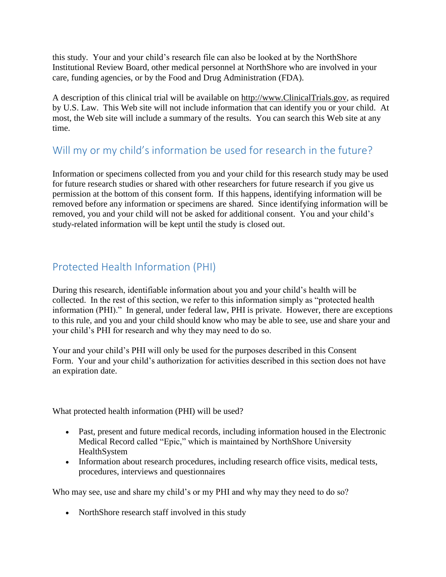this study. Your and your child's research file can also be looked at by the NorthShore Institutional Review Board, other medical personnel at NorthShore who are involved in your care, funding agencies, or by the Food and Drug Administration (FDA).

A description of this clinical trial will be available on http://www.ClinicalTrials.gov, as required by U.S. Law. This Web site will not include information that can identify you or your child. At most, the Web site will include a summary of the results. You can search this Web site at any time.

# Will my or my child's information be used for research in the future?

Information or specimens collected from you and your child for this research study may be used for future research studies or shared with other researchers for future research if you give us permission at the bottom of this consent form. If this happens, identifying information will be removed before any information or specimens are shared. Since identifying information will be removed, you and your child will not be asked for additional consent. You and your child's study-related information will be kept until the study is closed out.

# Protected Health Information (PHI)

During this research, identifiable information about you and your child's health will be collected. In the rest of this section, we refer to this information simply as "protected health information (PHI)." In general, under federal law, PHI is private. However, there are exceptions to this rule, and you and your child should know who may be able to see, use and share your and your child's PHI for research and why they may need to do so.

Your and your child's PHI will only be used for the purposes described in this Consent Form. Your and your child's authorization for activities described in this section does not have an expiration date.

What protected health information (PHI) will be used?

- Past, present and future medical records, including information housed in the Electronic Medical Record called "Epic," which is maintained by NorthShore University HealthSystem
- Information about research procedures, including research office visits, medical tests, procedures, interviews and questionnaires

Who may see, use and share my child's or my PHI and why may they need to do so?

• NorthShore research staff involved in this study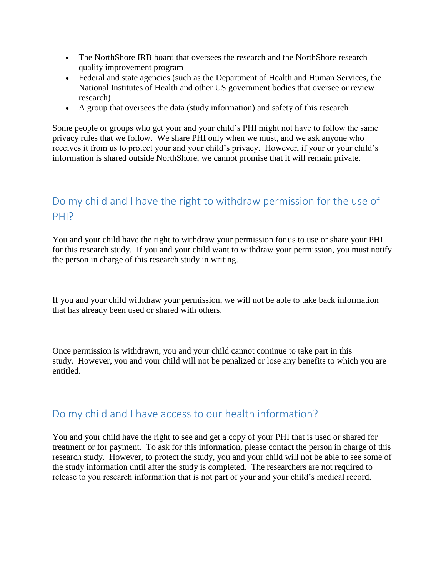- The NorthShore IRB board that oversees the research and the NorthShore research quality improvement program
- Federal and state agencies (such as the Department of Health and Human Services, the National Institutes of Health and other US government bodies that oversee or review research)
- A group that oversees the data (study information) and safety of this research

Some people or groups who get your and your child's PHI might not have to follow the same privacy rules that we follow. We share PHI only when we must, and we ask anyone who receives it from us to protect your and your child's privacy. However, if your or your child's information is shared outside NorthShore, we cannot promise that it will remain private.

# Do my child and I have the right to withdraw permission for the use of PHI?

You and your child have the right to withdraw your permission for us to use or share your PHI for this research study. If you and your child want to withdraw your permission, you must notify the person in charge of this research study in writing.

If you and your child withdraw your permission, we will not be able to take back information that has already been used or shared with others.

Once permission is withdrawn, you and your child cannot continue to take part in this study. However, you and your child will not be penalized or lose any benefits to which you are entitled.

# Do my child and I have access to our health information?

You and your child have the right to see and get a copy of your PHI that is used or shared for treatment or for payment. To ask for this information, please contact the person in charge of this research study. However, to protect the study, you and your child will not be able to see some of the study information until after the study is completed. The researchers are not required to release to you research information that is not part of your and your child's medical record.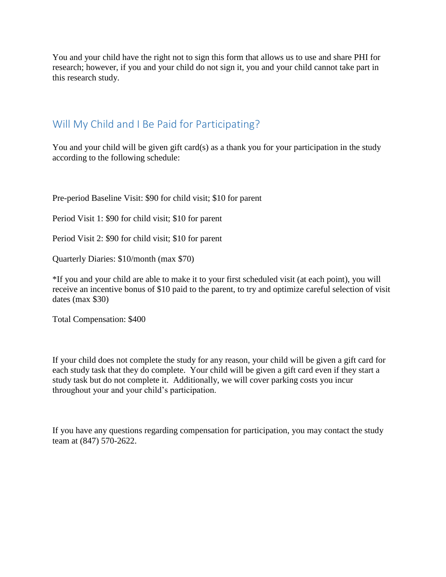You and your child have the right not to sign this form that allows us to use and share PHI for research; however, if you and your child do not sign it, you and your child cannot take part in this research study.

### Will My Child and I Be Paid for Participating?

You and your child will be given gift card(s) as a thank you for your participation in the study according to the following schedule:

Pre-period Baseline Visit: \$90 for child visit; \$10 for parent

Period Visit 1: \$90 for child visit; \$10 for parent

Period Visit 2: \$90 for child visit; \$10 for parent

Quarterly Diaries: \$10/month (max \$70)

\*If you and your child are able to make it to your first scheduled visit (at each point), you will receive an incentive bonus of \$10 paid to the parent, to try and optimize careful selection of visit dates (max \$30)

Total Compensation: \$400

If your child does not complete the study for any reason, your child will be given a gift card for each study task that they do complete. Your child will be given a gift card even if they start a study task but do not complete it. Additionally, we will cover parking costs you incur throughout your and your child's participation.

If you have any questions regarding compensation for participation, you may contact the study team at (847) 570-2622.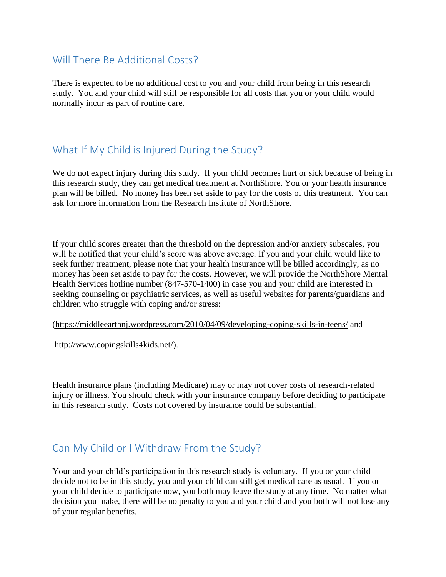## Will There Be Additional Costs?

There is expected to be no additional cost to you and your child from being in this research study. You and your child will still be responsible for all costs that you or your child would normally incur as part of routine care.

# What If My Child is Injured During the Study?

We do not expect injury during this study. If your child becomes hurt or sick because of being in this research study, they can get medical treatment at NorthShore. You or your health insurance plan will be billed. No money has been set aside to pay for the costs of this treatment. You can ask for more information from the Research Institute of NorthShore.

If your child scores greater than the threshold on the depression and/or anxiety subscales, you will be notified that your child's score was above average. If you and your child would like to seek further treatment, please note that your health insurance will be billed accordingly, as no money has been set aside to pay for the costs. However, we will provide the NorthShore Mental Health Services hotline number (847-570-1400) in case you and your child are interested in seeking counseling or psychiatric services, as well as useful websites for parents/guardians and children who struggle with coping and/or stress:

#### (https://middleearthnj.wordpress.com/2010/04/09/developing-coping-skills-in-teens/ and

http://www.copingskills4kids.net/).

Health insurance plans (including Medicare) may or may not cover costs of research-related injury or illness. You should check with your insurance company before deciding to participate in this research study. Costs not covered by insurance could be substantial.

# Can My Child or I Withdraw From the Study?

Your and your child's participation in this research study is voluntary. If you or your child decide not to be in this study, you and your child can still get medical care as usual. If you or your child decide to participate now, you both may leave the study at any time. No matter what decision you make, there will be no penalty to you and your child and you both will not lose any of your regular benefits.